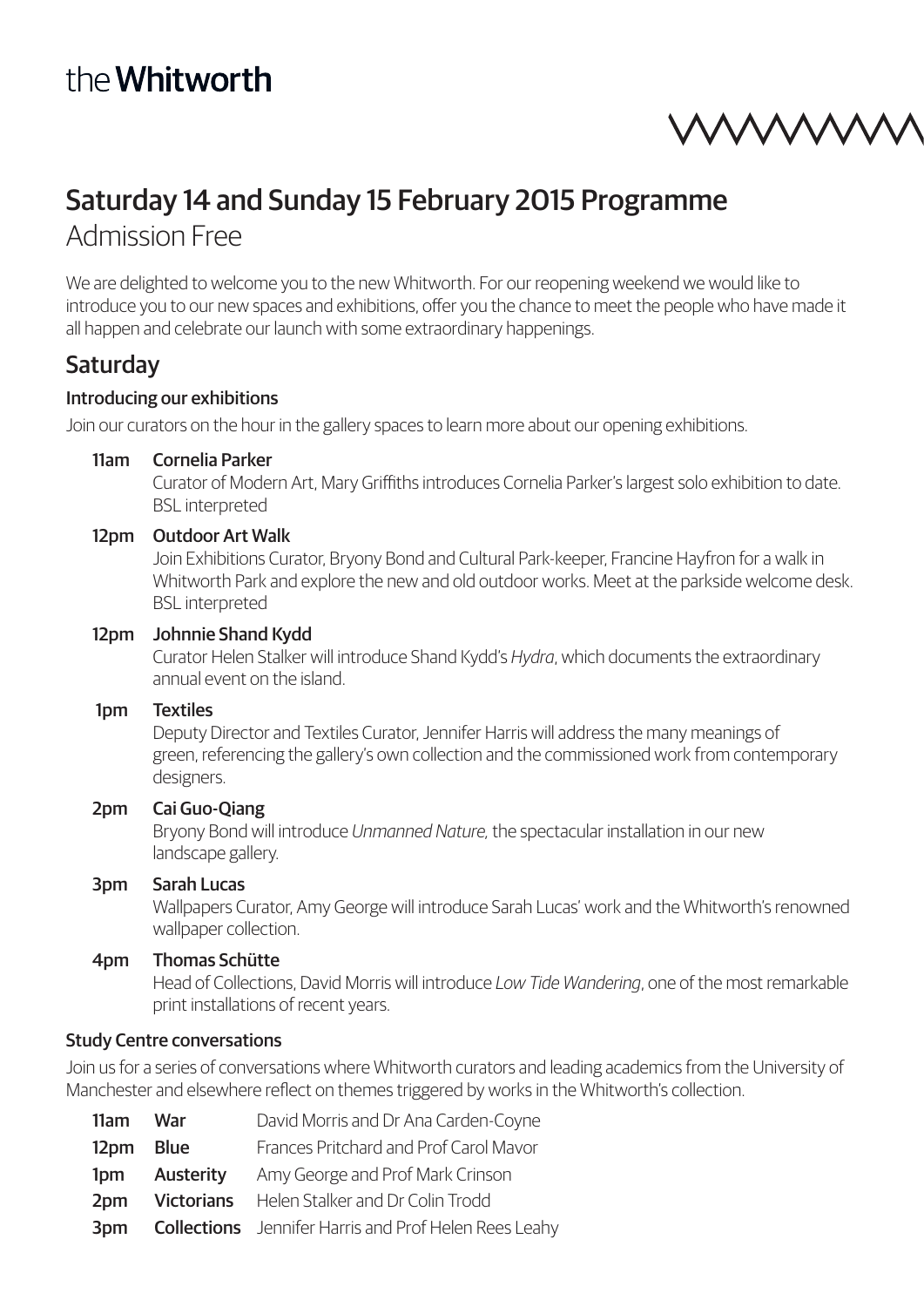# the Whitworth

mmm

## Saturday 14 and Sunday 15 February 2015 Programme Admission Free

We are delighted to welcome you to the new Whitworth. For our reopening weekend we would like to introduce you to our new spaces and exhibitions, offer you the chance to meet the people who have made it all happen and celebrate our launch with some extraordinary happenings.

## **Saturday**

#### Introducing our exhibitions

Join our curators on the hour in the gallery spaces to learn more about our opening exhibitions.

#### 11am Cornelia Parker

Curator of Modern Art, Mary Griffiths introduces Cornelia Parker's largest solo exhibition to date. BSL interpreted

#### 12pm Outdoor Art Walk

Join Exhibitions Curator, Bryony Bond and Cultural Park-keeper, Francine Hayfron for a walk in Whitworth Park and explore the new and old outdoor works. Meet at the parkside welcome desk. BSL interpreted

#### 12pm Johnnie Shand Kydd

Curator Helen Stalker will introduce Shand Kydd's *Hydra*, which documents the extraordinary annual event on the island.

#### 1pm Textiles

Deputy Director and Textiles Curator, Jennifer Harris will address the many meanings of green, referencing the gallery's own collection and the commissioned work from contemporary designers.

#### 2pm Cai Guo-Qiang

Bryony Bond will introduce *Unmanned Nature,* the spectacular installation in our new landscape gallery.

#### 3pm Sarah Lucas

Wallpapers Curator, Amy George will introduce Sarah Lucas' work and the Whitworth's renowned wallpaper collection.

#### 4pm Thomas Schütte

Head of Collections, David Morris will introduce *Low Tide Wandering*, one of the most remarkable print installations of recent years.

#### Study Centre conversations

Join us for a series of conversations where Whitworth curators and leading academics from the University of Manchester and elsewhere reflect on themes triggered by works in the Whitworth's collection.

| 11am War  | David Morris and Dr Ana Carden-Coyne                         |  |
|-----------|--------------------------------------------------------------|--|
| 12pm Blue | Frances Pritchard and Prof Carol Mavor                       |  |
| 1pm       | <b>Austerity</b> Amy George and Prof Mark Crinson            |  |
| 2pm       | <b>Victorians</b> Helen Stalker and Dr Colin Trodd           |  |
| 3pm       | <b>Collections</b> Jennifer Harris and Prof Helen Rees Leahy |  |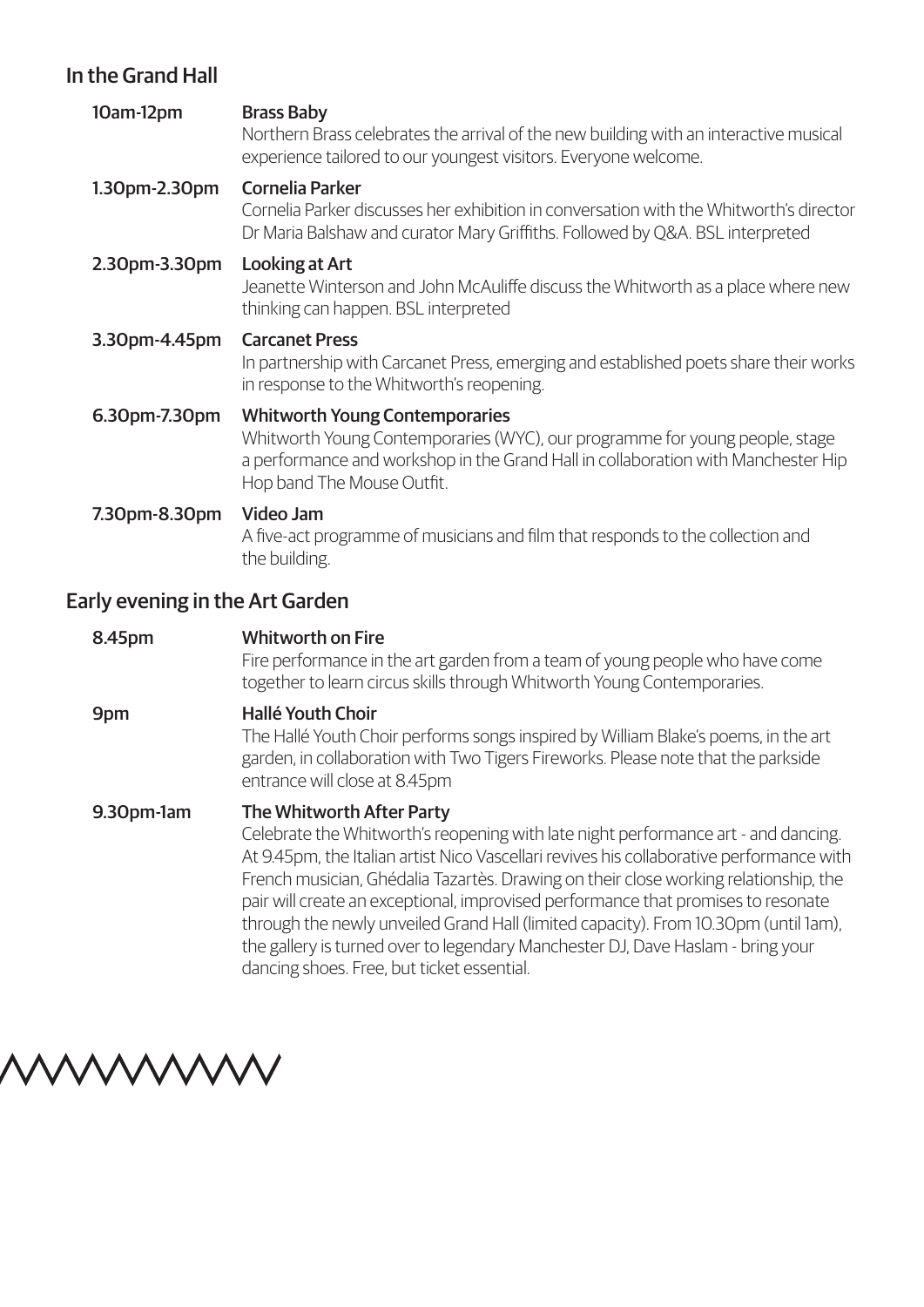## In the Grand Hall

| 10am-12pm     | <b>Brass Baby</b><br>Northern Brass celebrates the arrival of the new building with an interactive musical<br>experience tailored to our youngest visitors. Everyone welcome.                                                           |
|---------------|-----------------------------------------------------------------------------------------------------------------------------------------------------------------------------------------------------------------------------------------|
| 1.30pm-2.30pm | <b>Cornelia Parker</b><br>Cornelia Parker discusses her exhibition in conversation with the Whitworth's director<br>Dr Maria Balshaw and curator Mary Griffiths. Followed by Q&A. BSL interpreted                                       |
| 2.30pm-3.30pm | Looking at Art<br>Jeanette Winterson and John McAuliffe discuss the Whitworth as a place where new<br>thinking can happen. BSL interpreted                                                                                              |
| 3.30pm-4.45pm | <b>Carcanet Press</b><br>In partnership with Carcanet Press, emerging and established poets share their works<br>in response to the Whitworth's reopening.                                                                              |
| 6.30pm-7.30pm | <b>Whitworth Young Contemporaries</b><br>Whitworth Young Contemporaries (WYC), our programme for young people, stage<br>a performance and workshop in the Grand Hall in collaboration with Manchester Hip<br>Hop band The Mouse Outfit. |
| 7.30pm-8.30pm | Video Jam<br>A five-act programme of musicians and film that responds to the collection and<br>the building.                                                                                                                            |
|               |                                                                                                                                                                                                                                         |

## Early evening in the Art Garden

| 8.45pm     | <b>Whitworth on Fire</b><br>Fire performance in the art garden from a team of young people who have come<br>together to learn circus skills through Whitworth Young Contemporaries.                                                                                                                                                                                                                                                                                                                                                                                                                                     |  |
|------------|-------------------------------------------------------------------------------------------------------------------------------------------------------------------------------------------------------------------------------------------------------------------------------------------------------------------------------------------------------------------------------------------------------------------------------------------------------------------------------------------------------------------------------------------------------------------------------------------------------------------------|--|
| 9pm        | <b>Hallé Youth Choir</b><br>The Hallé Youth Choir performs songs inspired by William Blake's poems, in the art<br>garden, in collaboration with Two Tigers Fireworks. Please note that the parkside<br>entrance will close at 8.45pm                                                                                                                                                                                                                                                                                                                                                                                    |  |
| 9.30pm-1am | <b>The Whitworth After Party</b><br>Celebrate the Whitworth's reopening with late night performance art - and dancing.<br>At 9.45pm, the Italian artist Nico Vascellari revives his collaborative performance with<br>French musician, Ghédalia Tazartès. Drawing on their close working relationship, the<br>pair will create an exceptional, improvised performance that promises to resonate<br>through the newly unveiled Grand Hall (limited capacity). From 10.30pm (until 1am),<br>the gallery is turned over to legendary Manchester DJ, Dave Haslam - bring your<br>dancing shoes. Free, but ticket essential. |  |

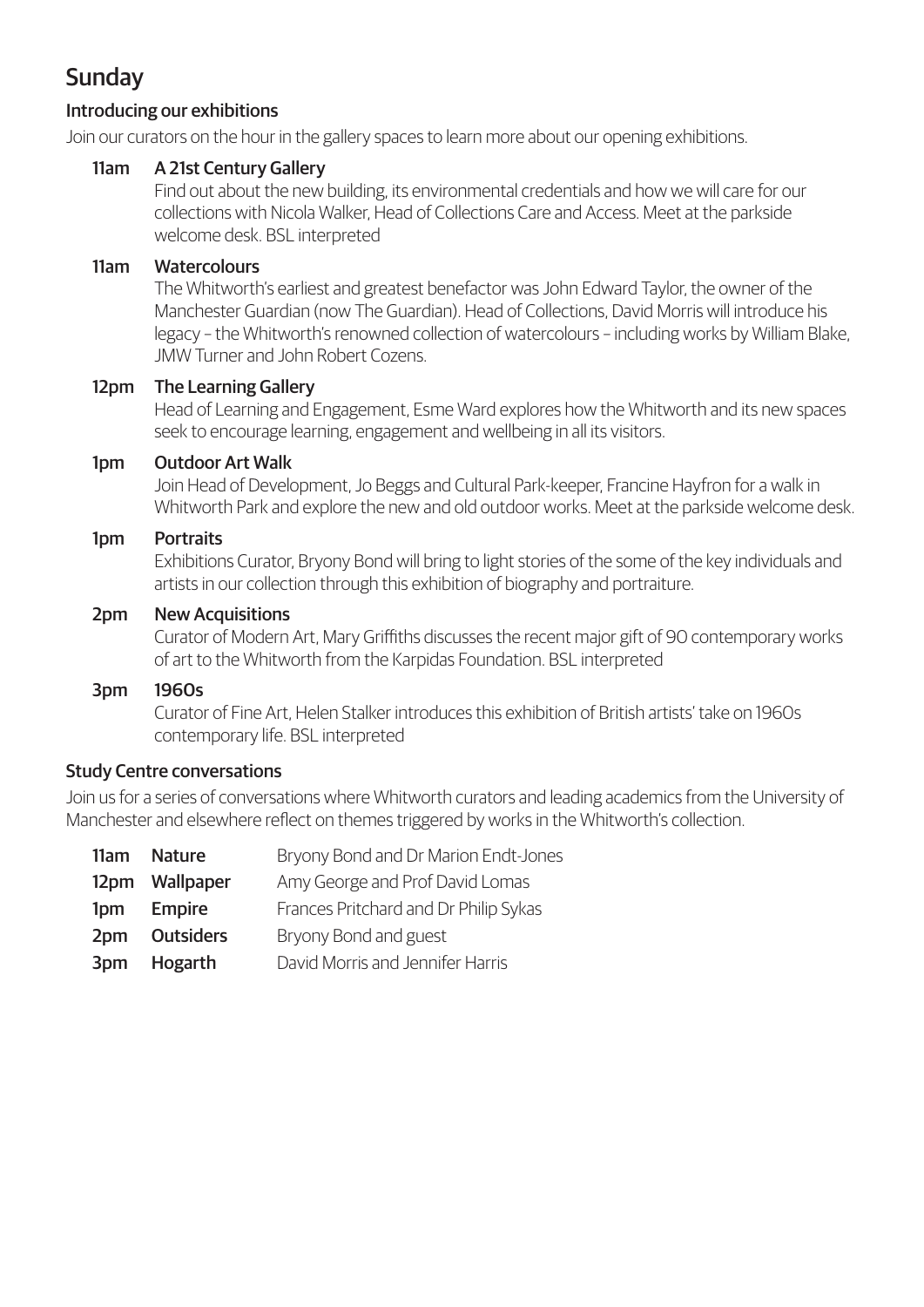## **Sunday**

#### Introducing our exhibitions

Join our curators on the hour in the gallery spaces to learn more about our opening exhibitions.

#### 11am A 21st Century Gallery

Find out about the new building, its environmental credentials and how we will care for our collections with Nicola Walker, Head of Collections Care and Access. Meet at the parkside welcome desk. BSL interpreted

#### 11am Watercolours

The Whitworth's earliest and greatest benefactor was John Edward Taylor, the owner of the Manchester Guardian (now The Guardian). Head of Collections, David Morris will introduce his legacy – the Whitworth's renowned collection of watercolours – including works by William Blake, JMW Turner and John Robert Cozens.

#### 12pm The Learning Gallery

Head of Learning and Engagement, Esme Ward explores how the Whitworth and its new spaces seek to encourage learning, engagement and wellbeing in all its visitors.

#### 1pm Outdoor Art Walk

Join Head of Development, Jo Beggs and Cultural Park-keeper, Francine Hayfron for a walk in Whitworth Park and explore the new and old outdoor works. Meet at the parkside welcome desk.

#### 1pm Portraits

Exhibitions Curator, Bryony Bond will bring to light stories of the some of the key individuals and artists in our collection through this exhibition of biography and portraiture.

#### 2pm New Acquisitions

Curator of Modern Art, Mary Griffiths discusses the recent major gift of 90 contemporary works of art to the Whitworth from the Karpidas Foundation. BSL interpreted

#### 3pm 1960s

Curator of Fine Art, Helen Stalker introduces this exhibition of British artists' take on 1960s contemporary life. BSL interpreted

#### Study Centre conversations

Join us for a series of conversations where Whitworth curators and leading academics from the University of Manchester and elsewhere reflect on themes triggered by works in the Whitworth's collection.

| 11am | <b>Nature</b>    | Bryony Bond and Dr Marion Endt-Jones  |
|------|------------------|---------------------------------------|
|      | 12pm Wallpaper   | Amy George and Prof David Lomas       |
| 1pm  | <b>Empire</b>    | Frances Pritchard and Dr Philip Sykas |
| 2pm  | <b>Outsiders</b> | Bryony Bond and guest                 |
| 3pm  | Hogarth          | David Morris and Jennifer Harris      |